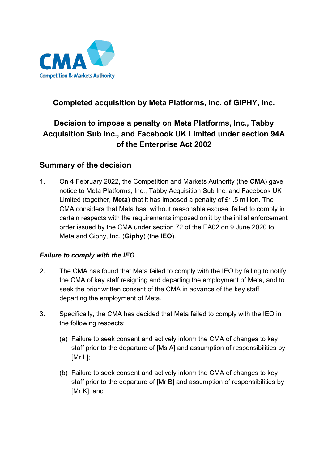

## **Completed acquisition by Meta Platforms, Inc. of GIPHY, Inc.**

# **Decision to impose a penalty on Meta Platforms, Inc., Tabby Acquisition Sub Inc., and Facebook UK Limited under section 94A of the Enterprise Act 2002**

### **Summary of the decision**

1. On 4 February 2022, the Competition and Markets Authority (the **CMA**) gave notice to Meta Platforms, Inc., Tabby Acquisition Sub Inc. and Facebook UK Limited (together, **Meta**) that it has imposed a penalty of £1.5 million. The CMA considers that Meta has, without reasonable excuse, failed to comply in certain respects with the requirements imposed on it by the initial enforcement order issued by the CMA under section 72 of the EA02 on 9 June 2020 to Meta and Giphy, Inc. (**Giphy**) (the **IEO**).

#### *Failure to comply with the IEO*

- 2. The CMA has found that Meta failed to comply with the IEO by failing to notify the CMA of key staff resigning and departing the employment of Meta, and to seek the prior written consent of the CMA in advance of the key staff departing the employment of Meta.
- 3. Specifically, the CMA has decided that Meta failed to comply with the IEO in the following respects:
	- (a) Failure to seek consent and actively inform the CMA of changes to key staff prior to the departure of [Ms A] and assumption of responsibilities by [Mr L];
	- (b) Failure to seek consent and actively inform the CMA of changes to key staff prior to the departure of [Mr B] and assumption of responsibilities by [Mr K]; and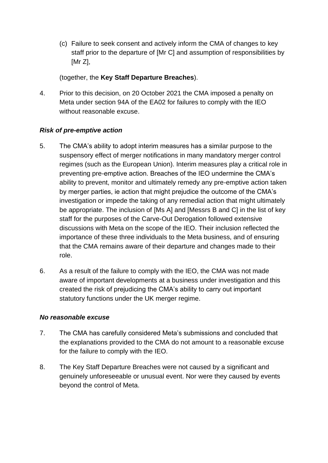(c) Failure to seek consent and actively inform the CMA of changes to key staff prior to the departure of [Mr C] and assumption of responsibilities by [Mr Z],

(together, the **Key Staff Departure Breaches**).

4. Prior to this decision, on 20 October 2021 the CMA imposed a penalty on Meta under section 94A of the EA02 for failures to comply with the IEO without reasonable excuse.

#### *Risk of pre-emptive action*

- 5. The CMA's ability to adopt interim measures has a similar purpose to the suspensory effect of merger notifications in many mandatory merger control regimes (such as the European Union). Interim measures play a critical role in preventing pre-emptive action. Breaches of the IEO undermine the CMA's ability to prevent, monitor and ultimately remedy any pre-emptive action taken by merger parties, ie action that might prejudice the outcome of the CMA's investigation or impede the taking of any remedial action that might ultimately be appropriate. The inclusion of [Ms A] and [Messrs B and C] in the list of key staff for the purposes of the Carve-Out Derogation followed extensive discussions with Meta on the scope of the IEO. Their inclusion reflected the importance of these three individuals to the Meta business, and of ensuring that the CMA remains aware of their departure and changes made to their role.
- 6. As a result of the failure to comply with the IEO, the CMA was not made aware of important developments at a business under investigation and this created the risk of prejudicing the CMA's ability to carry out important statutory functions under the UK merger regime.

#### *No reasonable excuse*

- 7. The CMA has carefully considered Meta's submissions and concluded that the explanations provided to the CMA do not amount to a reasonable excuse for the failure to comply with the IEO.
- 8. The Key Staff Departure Breaches were not caused by a significant and genuinely unforeseeable or unusual event. Nor were they caused by events beyond the control of Meta.